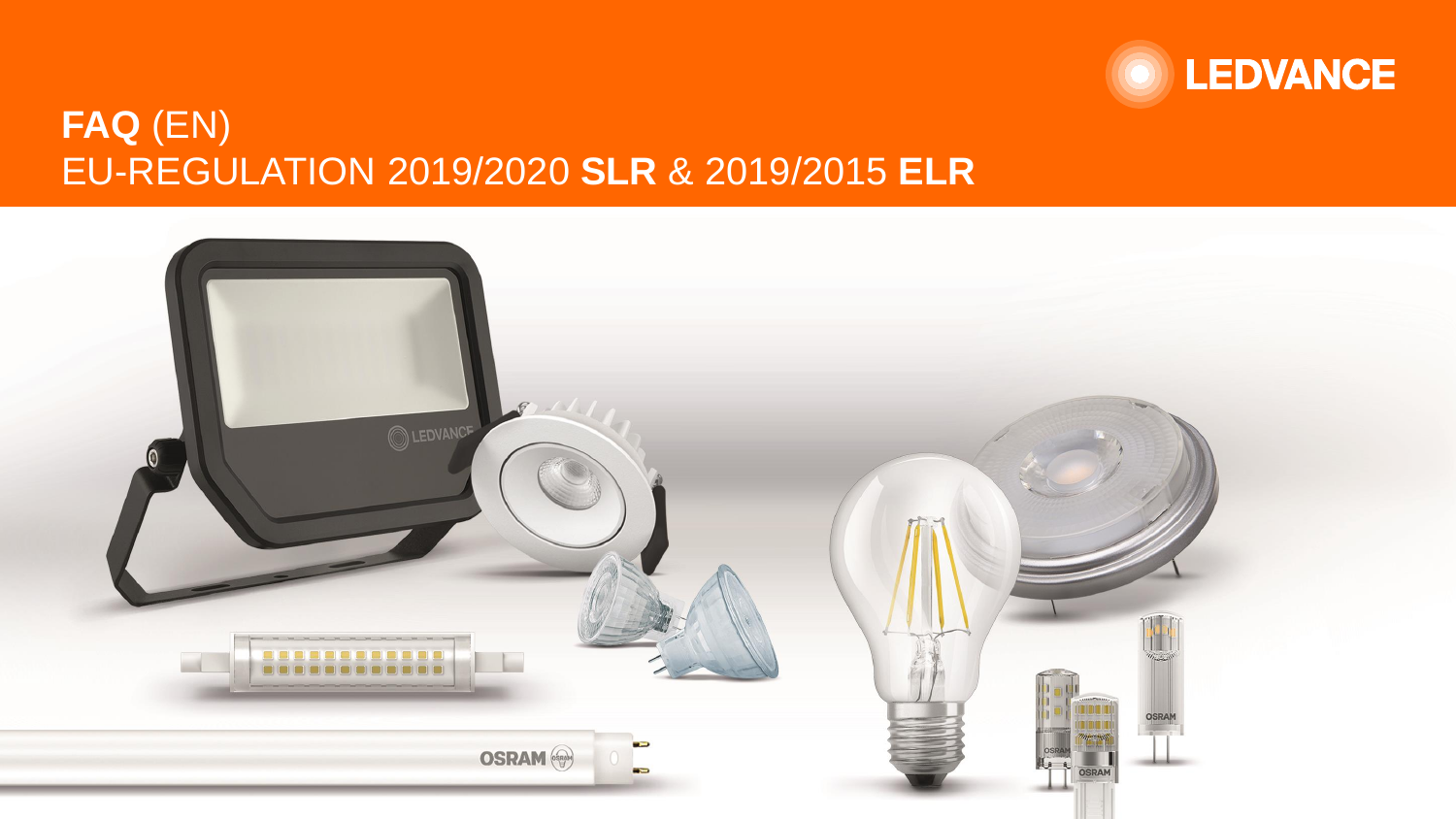

# **FAQ** (EN) EU-REGULATION 2019/2020 **SLR** & 2019/2015 **ELR**

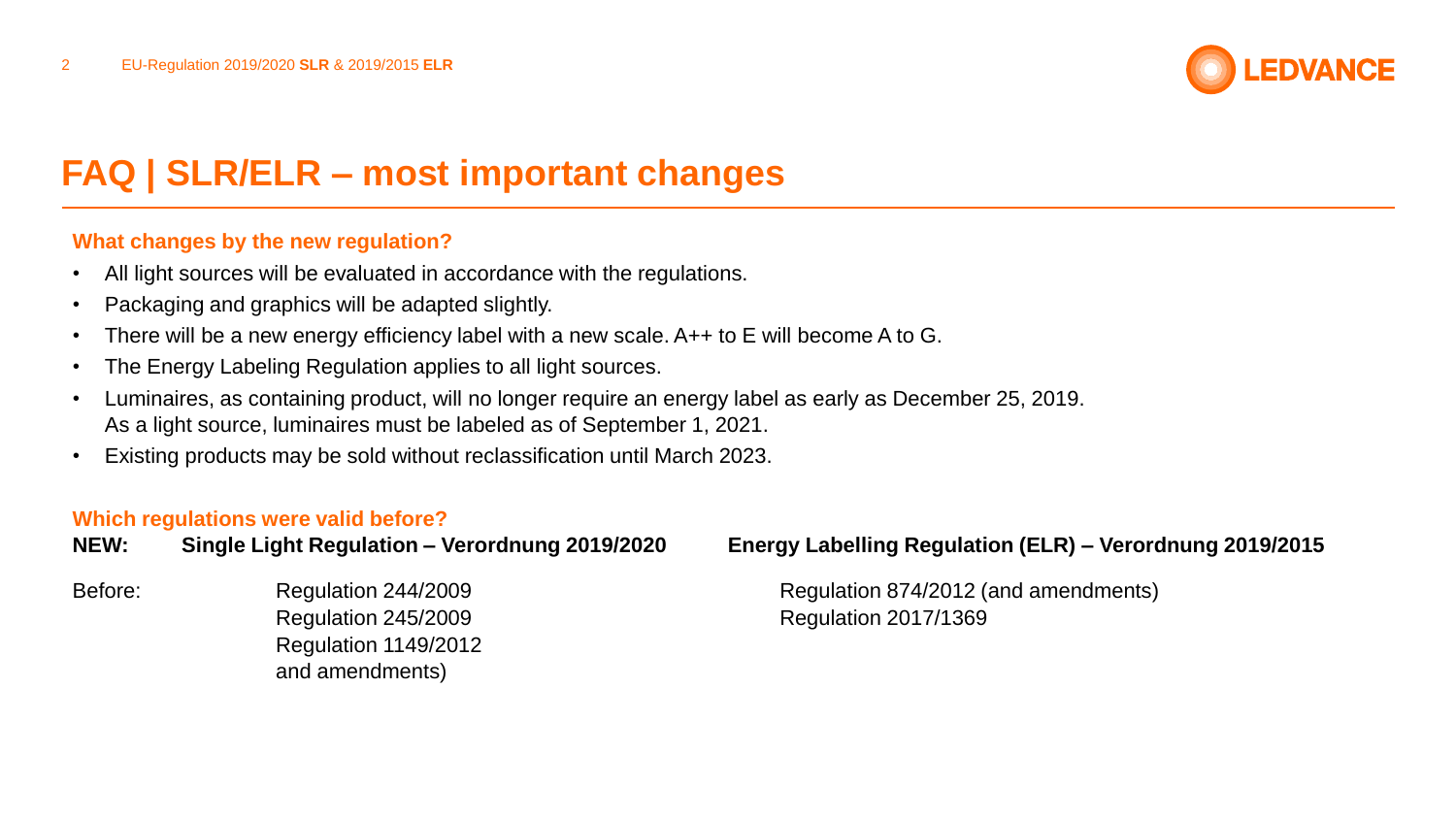

### **What changes by the new regulation?**

- All light sources will be evaluated in accordance with the regulations.
- Packaging and graphics will be adapted slightly.
- There will be a new energy efficiency label with a new scale. A++ to E will become A to G.
- The Energy Labeling Regulation applies to all light sources.
- Luminaires, as containing product, will no longer require an energy label as early as December 25, 2019. As a light source, luminaires must be labeled as of September 1, 2021.
- Existing products may be sold without reclassification until March 2023.

#### **Which regulations were valid before?**

| NEW: | Single Light Regulation - Verordnung 2019/2020 |  |
|------|------------------------------------------------|--|
|      |                                                |  |

Regulation 245/2009 Regulation 2017/1369 Regulation 1149/2012 and amendments)

### **NEW: Single Light Regulation – Verordnung 2019/2020 Energy Labelling Regulation (ELR) – Verordnung 2019/2015**

Before: Regulation 244/2009 Regulation Regulation 874/2012 (and amendments)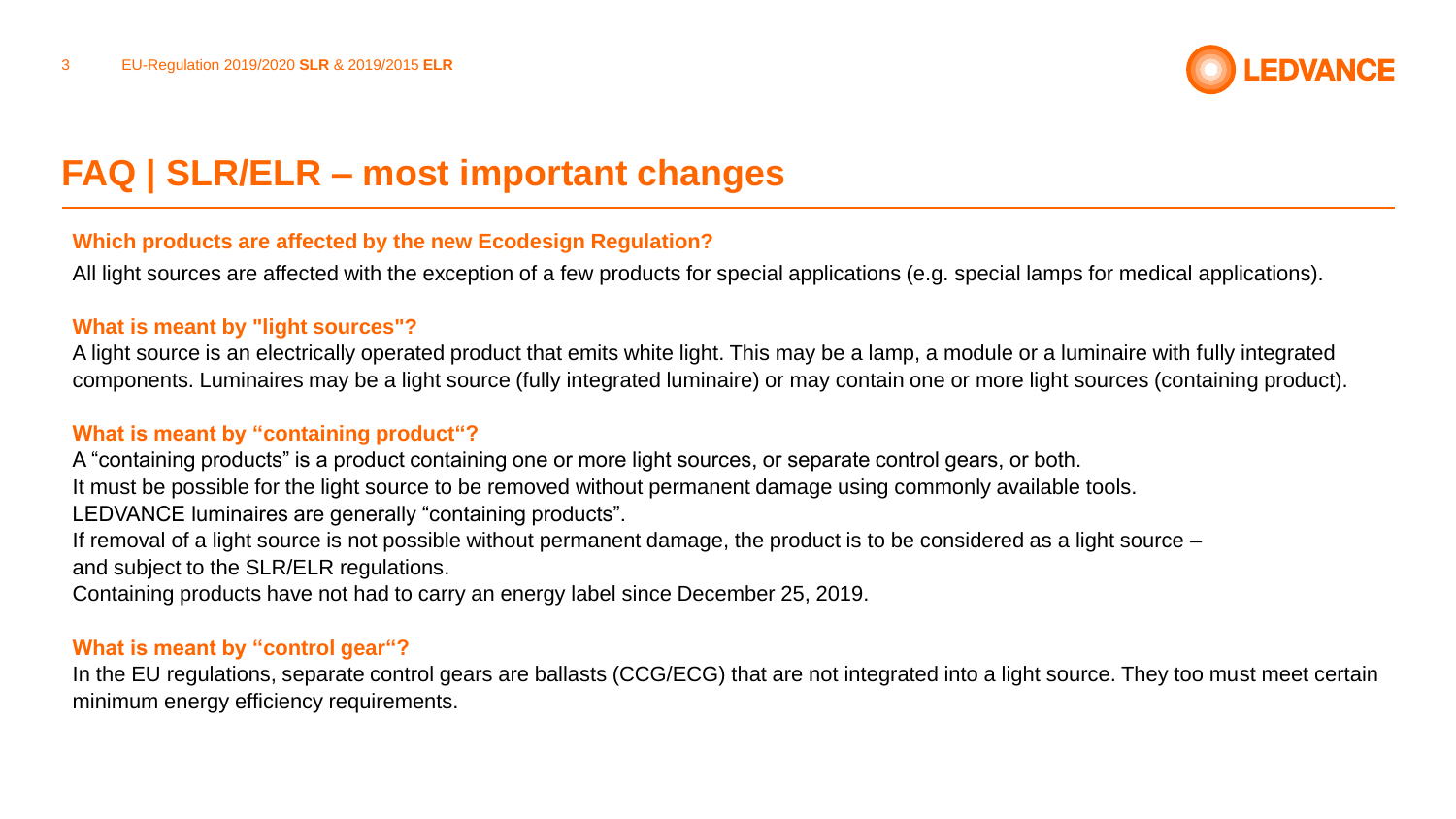

### **Which products are affected by the new Ecodesign Regulation?**

All light sources are affected with the exception of a few products for special applications (e.g. special lamps for medical applications).

#### **What is meant by "light sources"?**

A light source is an electrically operated product that emits white light. This may be a lamp, a module or a luminaire with fully integrated components. Luminaires may be a light source (fully integrated luminaire) or may contain one or more light sources (containing product).

### **What is meant by "containing product"?**

A "containing products" is a product containing one or more light sources, or separate control gears, or both.

It must be possible for the light source to be removed without permanent damage using commonly available tools.

LEDVANCE luminaires are generally "containing products".

If removal of a light source is not possible without permanent damage, the product is to be considered as a light source – and subject to the SLR/ELR regulations.

Containing products have not had to carry an energy label since December 25, 2019.

#### **What is meant by "control gear"?**

In the EU regulations, separate control gears are ballasts (CCG/ECG) that are not integrated into a light source. They too must meet certain minimum energy efficiency requirements.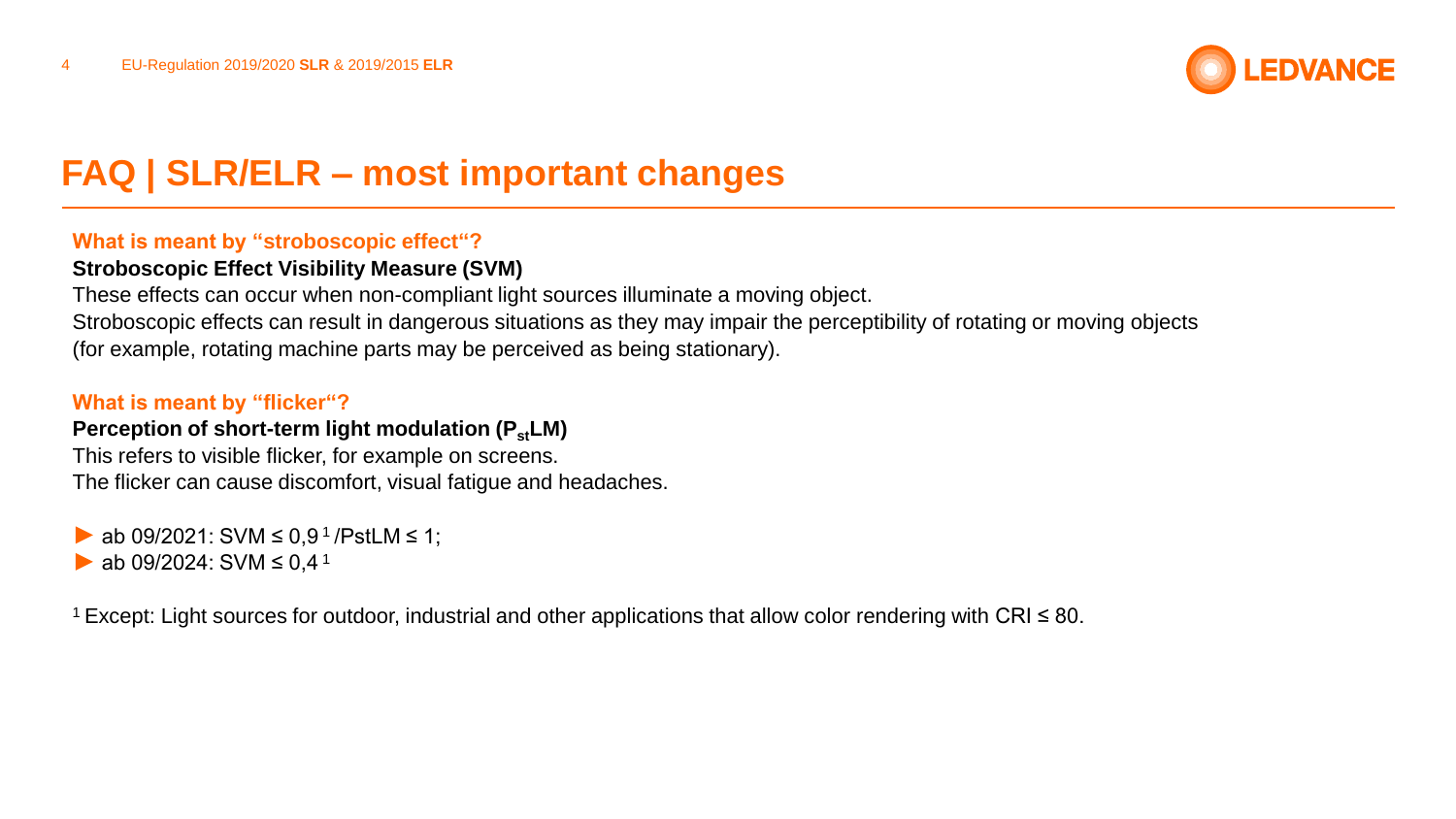

### **What is meant by "stroboscopic effect"?**

### **Stroboscopic Effect Visibility Measure (SVM)**

These effects can occur when non-compliant light sources illuminate a moving object. Stroboscopic effects can result in dangerous situations as they may impair the perceptibility of rotating or moving objects (for example, rotating machine parts may be perceived as being stationary).

### **What is meant by "flicker"?**

### **Perception of short-term light modulation (P<sub>st</sub>LM)**

This refers to visible flicker, for example on screens. The flicker can cause discomfort, visual fatigue and headaches.

ab 09/2021: SVM  $\leq$  0,9<sup>1</sup>/PstLM  $\leq$  1; ab 09/2024: SVM  $\leq$  0.4<sup>1</sup>

<sup>1</sup>Except: Light sources for outdoor, industrial and other applications that allow color rendering with CRI ≤ 80.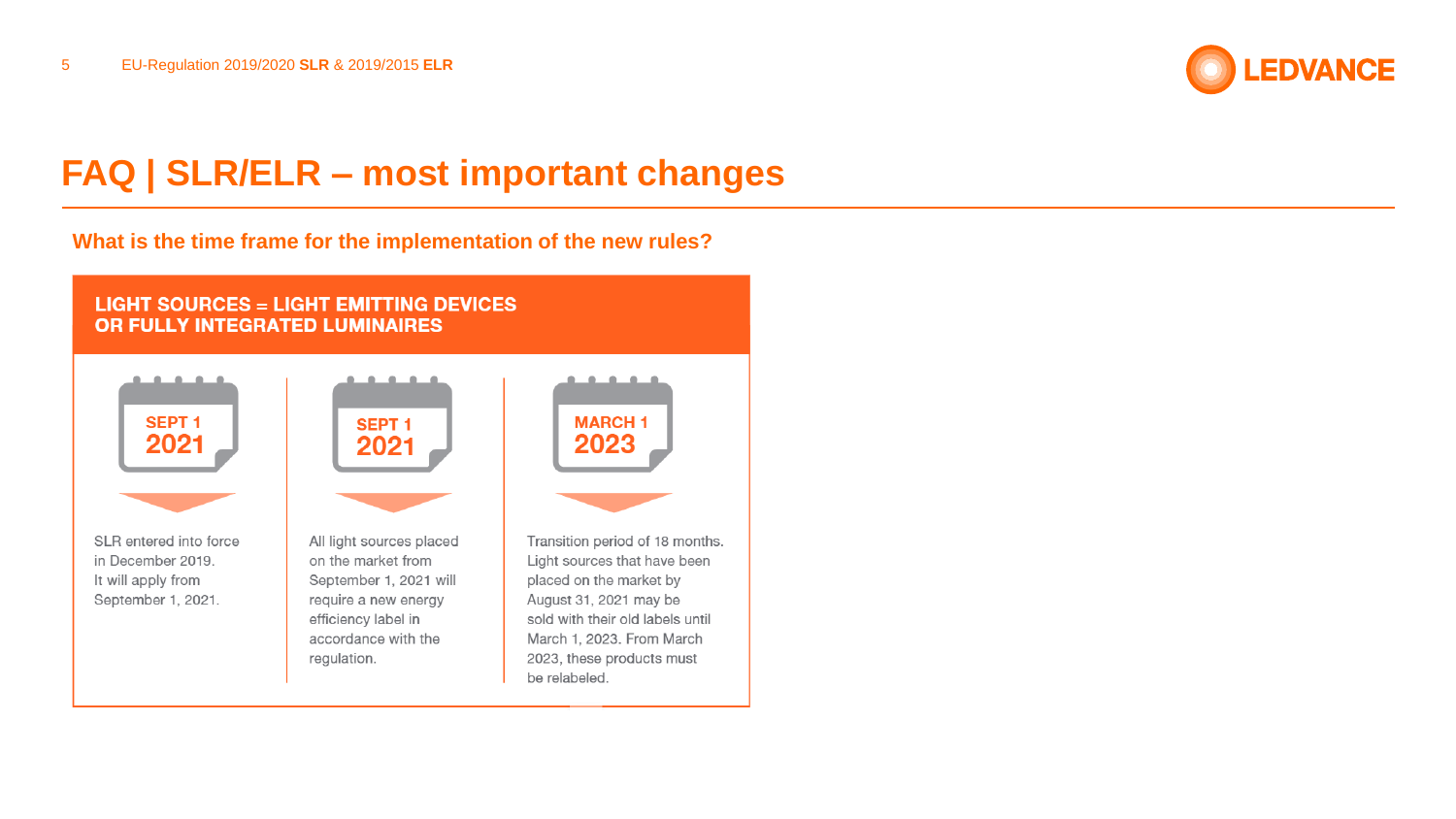

#### **What is the time frame for the implementation of the new rules?**

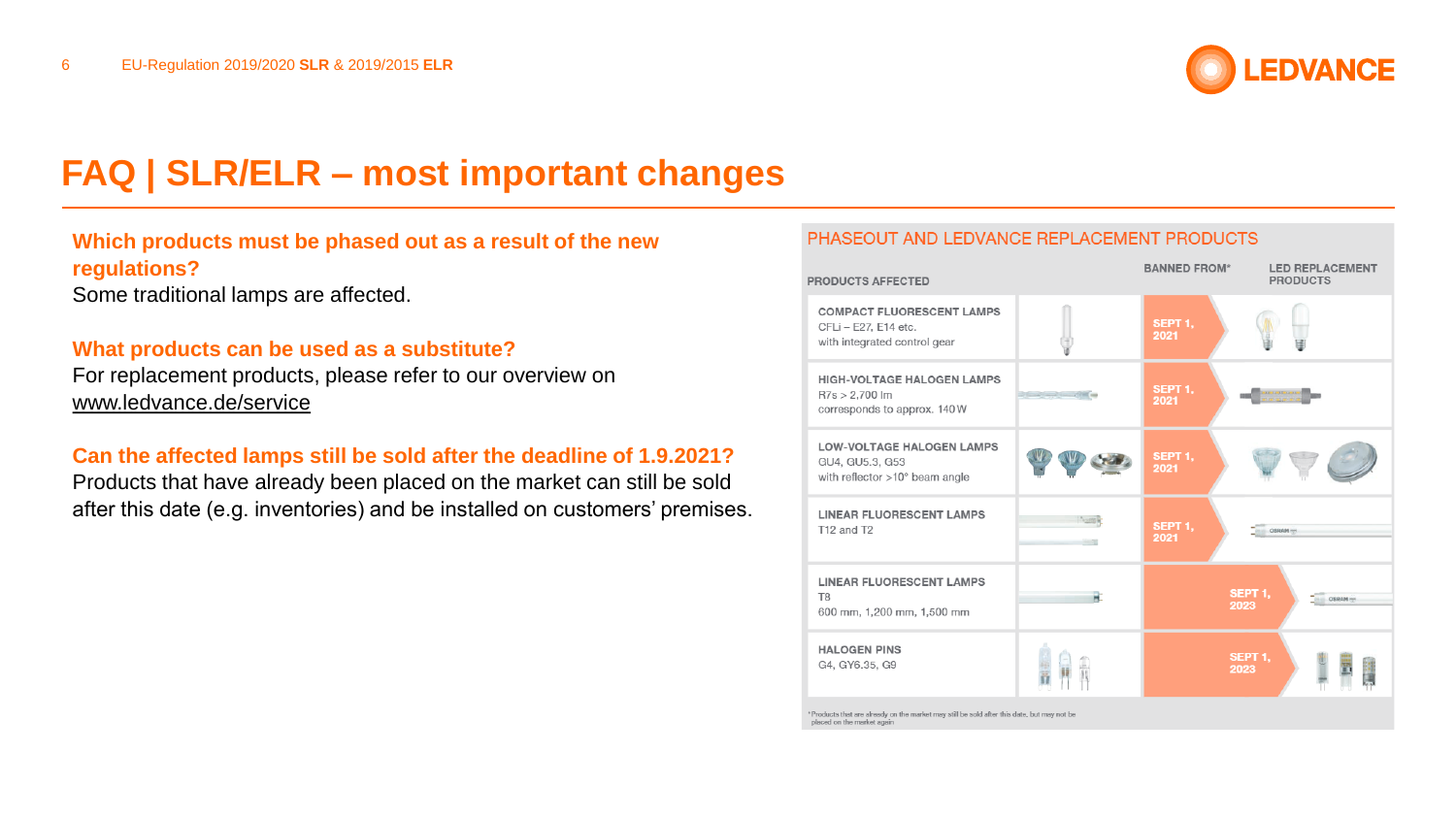

## **Which products must be phased out as a result of the new regulations?**

Some traditional lamps are affected.

#### **What products can be used as a substitute?**

For replacement products, please refer to our overview on [www.ledvance.de/service](http://www.ledvance.de/service)

### **Can the affected lamps still be sold after the deadline of 1.9.2021?**

Products that have already been placed on the market can still be sold after this date (e.g. inventories) and be installed on customers' premises.

#### PHASEOUT AND LEDVANCE REPLACEMENT PRODUCTS

| <b>PRODUCTS AFFECTED</b>                                                                 | <b>BANNED FROM*</b> | <b>LED REPLACEMENT</b><br><b>PRODUCTS</b> |                                 |
|------------------------------------------------------------------------------------------|---------------------|-------------------------------------------|---------------------------------|
| <b>COMPACT FLUORESCENT LAMPS</b><br>CFLi - E27, E14 etc.<br>with integrated control gear |                     | SEPT <sub>1</sub> .<br>2021               |                                 |
| <b>HIGH-VOLTAGE HALOGEN LAMPS</b><br>$R7s > 2,700$ lm<br>corresponds to approx. 140W     | <b>CONTROL</b>      | SEPT 1.<br>2021                           | <b>LED (LED (LED ) (LED )</b>   |
| <b>LOW-VOLTAGE HALOGEN LAMPS</b><br>GU4, GU5.3, G53<br>with reflector >10° beam angle    |                     | SEPT 1,<br>2021                           |                                 |
| <b>LINEAR FLUORESCENT LAMPS</b><br>T12 and T2                                            |                     | SEPT <sub>1</sub> .<br>2021               | <b>OSRAM</b>                    |
| <b>LINEAR FLUORESCENT LAMPS</b><br>T <sub>8</sub><br>600 mm, 1,200 mm, 1,500 mm          |                     |                                           | SEPT 1,<br><b>OSRAM</b><br>2023 |
| <b>HALOGEN PINS</b><br>G4, GY6.35, G9                                                    |                     |                                           | SEPT <sub>1</sub> .<br>2023     |

\*Products that are already on the market may still be sold after this date, but may not be placed on the market again.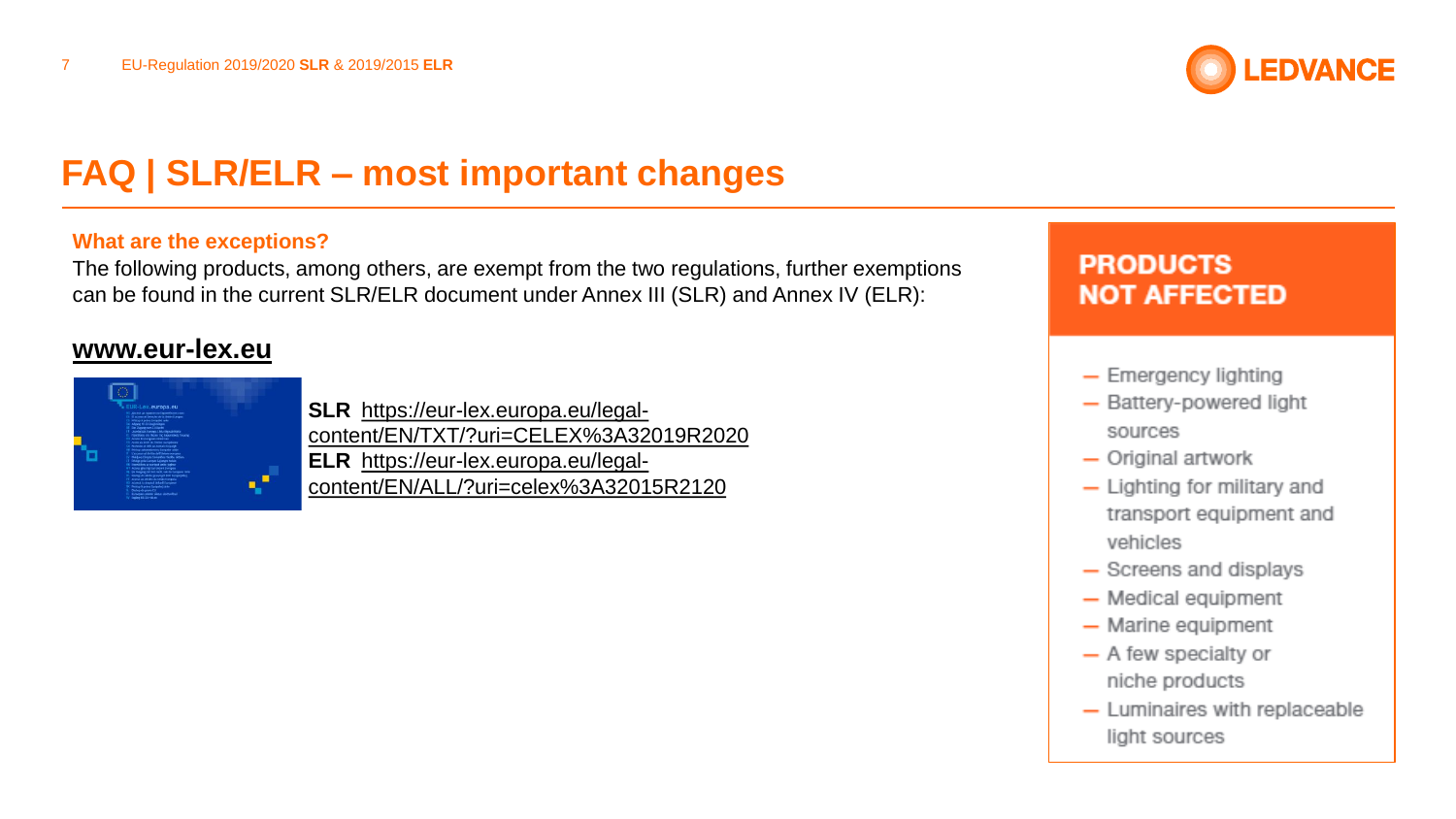

#### **What are the exceptions?**

The following products, among others, are exempt from the two regulations, further exemptions can be found in the current SLR/ELR document under Annex III (SLR) and Annex IV (ELR):

## **[www.eur-lex.eu](http://www.eur-lex.eu/)**



**SLR** https://eur-lex.europa.eu/legal[content/EN/TXT/?uri=CELEX%3A32019R2020](https://eur-lex.europa.eu/legal-content/DE/TXT/?uri=CELEX%3A32019R2020) **ELR** https://eur-lex.europa.eu/legal[content/EN/ALL/?uri=celex%3A32015R2120](https://eur-lex.europa.eu/legal-content/DE/ALL/?uri=celex%3A32015R2120)

## **PRODUCTS NOT AFFECTED**

- Emergency lighting
- Battery-powered light sources
- $-$  Original artwork
- $-$  Lighting for military and transport equipment and vehicles
- Screens and displays
- Medical equipment
- $-$  Marine equipment
- A few specialty or niche products
- Luminaires with replaceable light sources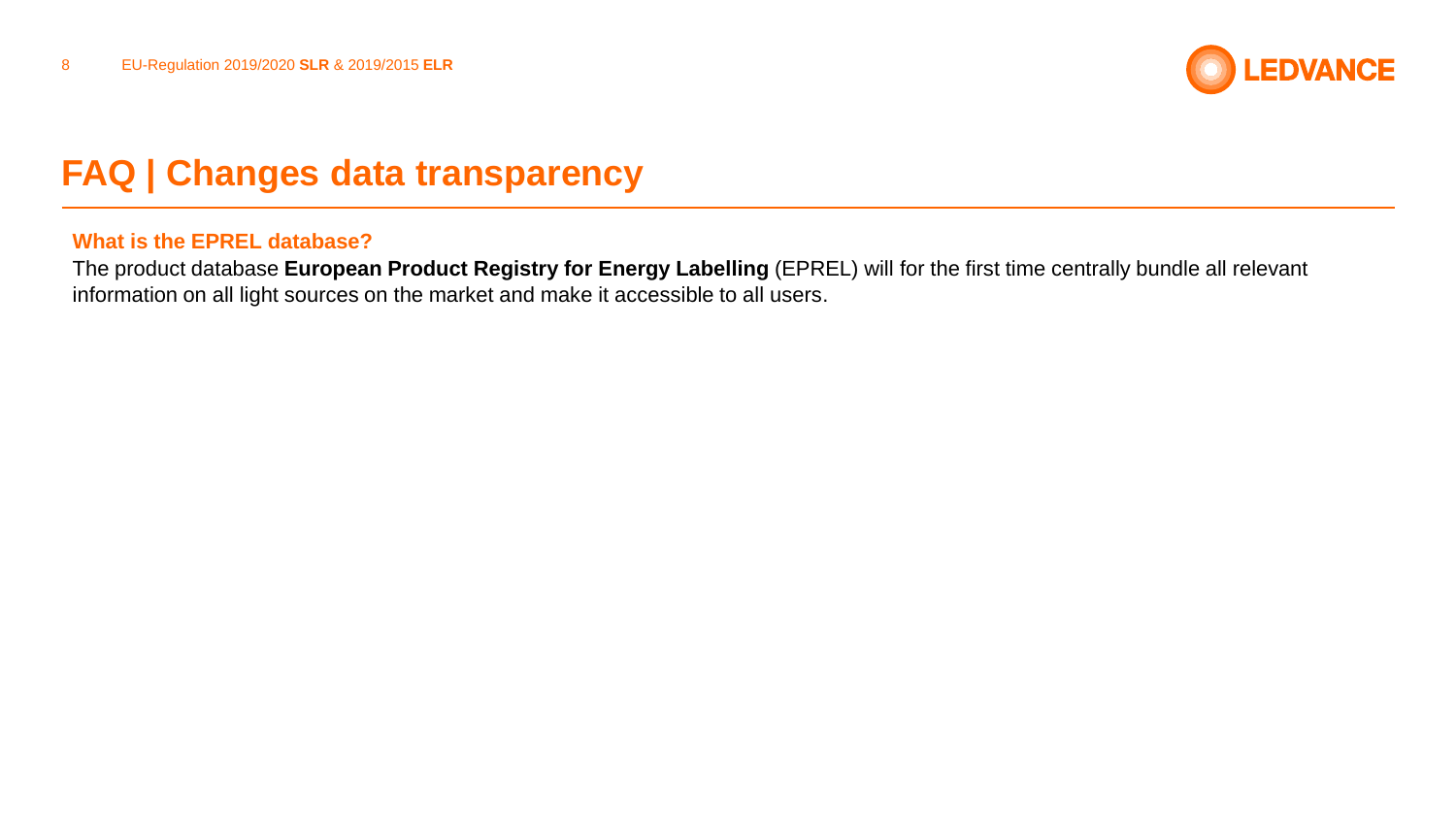

# **FAQ | Changes data transparency**

#### **What is the EPREL database?**

The product database **European Product Registry for Energy Labelling** (EPREL) will for the first time centrally bundle all relevant information on all light sources on the market and make it accessible to all users.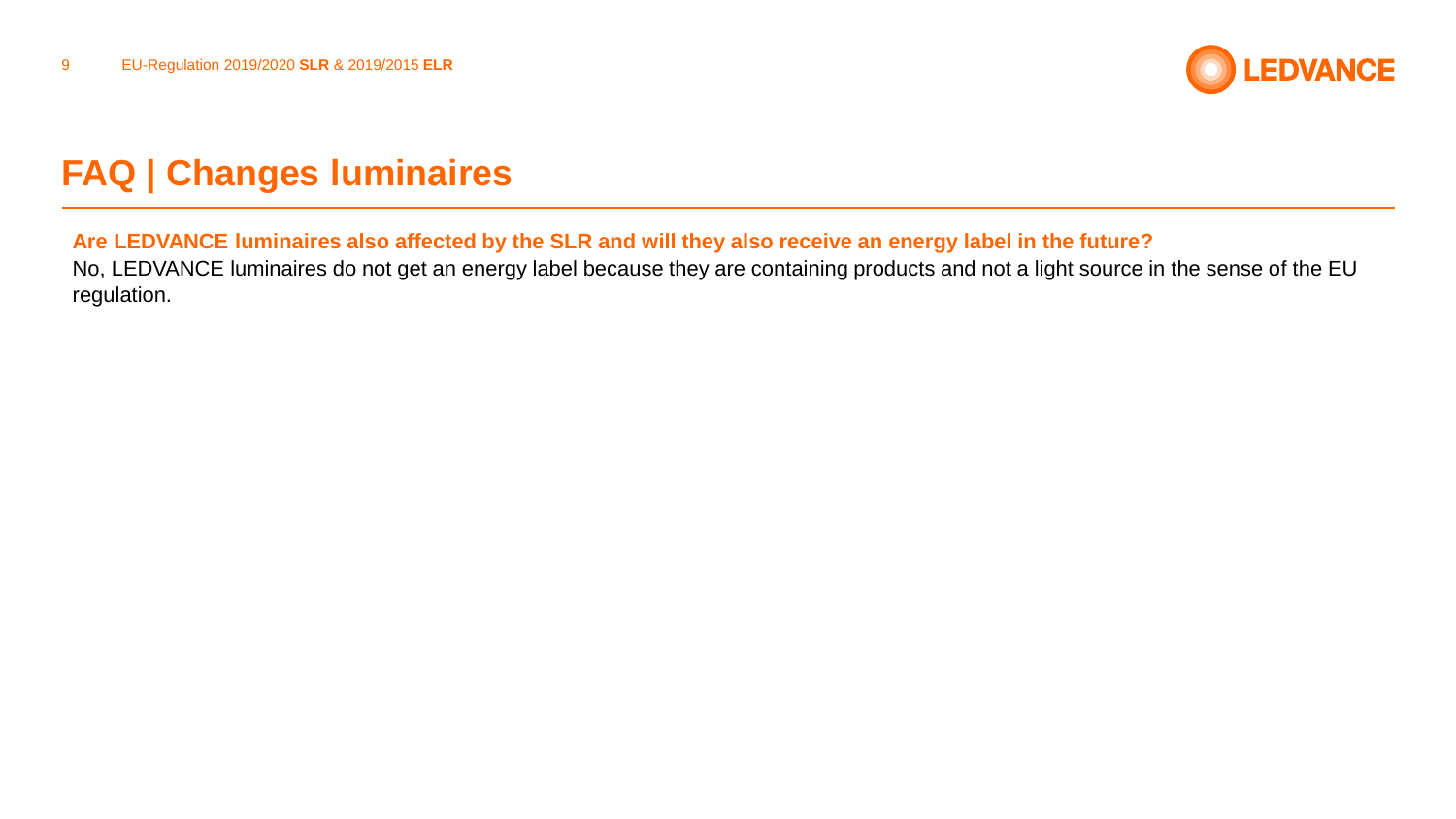

# **FAQ | Changes luminaires**

### **Are LEDVANCE luminaires also affected by the SLR and will they also receive an energy label in the future?**

No, LEDVANCE luminaires do not get an energy label because they are containing products and not a light source in the sense of the EU regulation.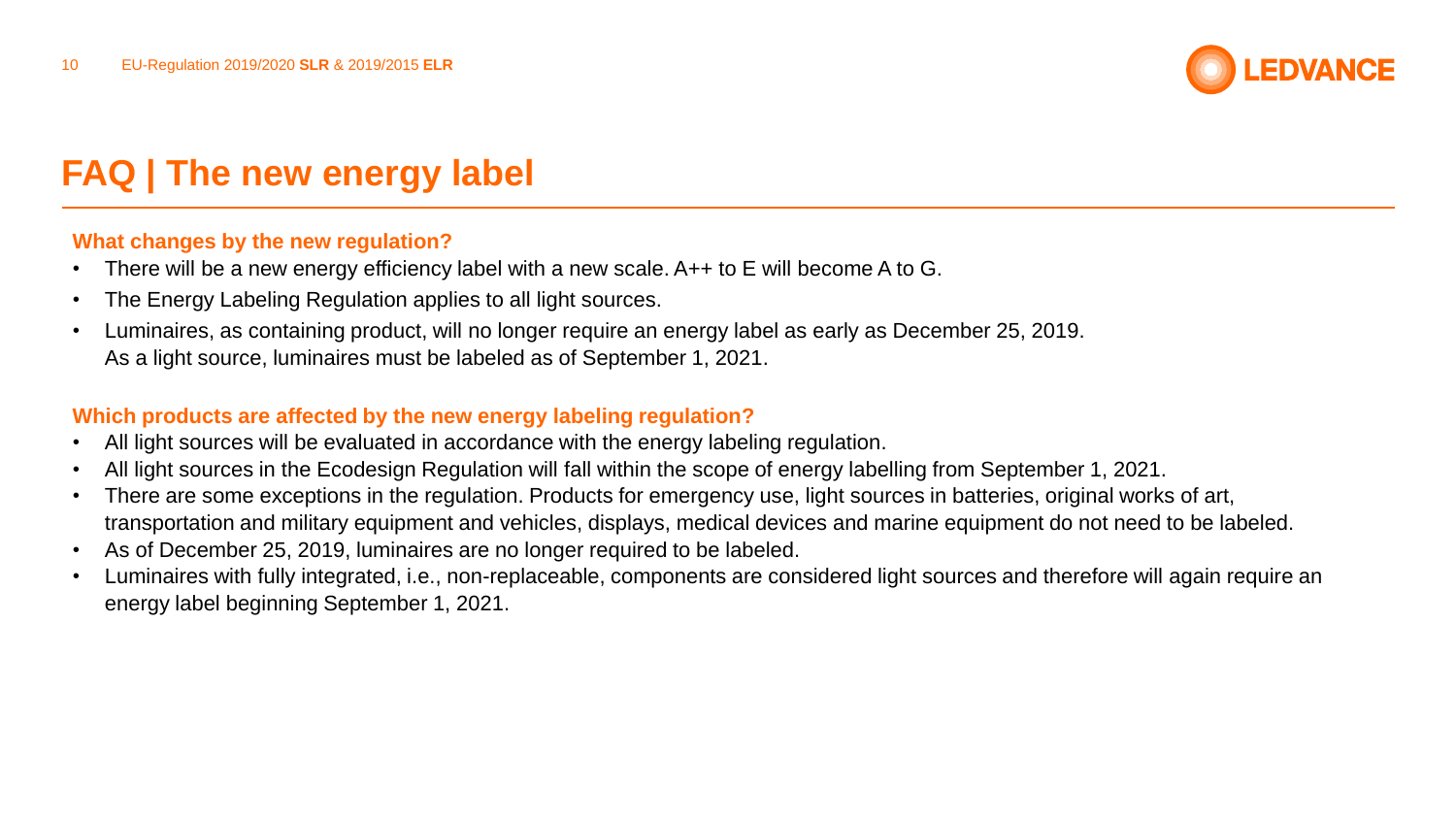

# **FAQ | The new energy label**

#### **What changes by the new regulation?**

- There will be a new energy efficiency label with a new scale. A++ to E will become A to G.
- The Energy Labeling Regulation applies to all light sources.
- Luminaires, as containing product, will no longer require an energy label as early as December 25, 2019. As a light source, luminaires must be labeled as of September 1, 2021.

### **Which products are affected by the new energy labeling regulation?**

- All light sources will be evaluated in accordance with the energy labeling regulation.
- All light sources in the Ecodesign Regulation will fall within the scope of energy labelling from September 1, 2021.
- There are some exceptions in the regulation. Products for emergency use, light sources in batteries, original works of art, transportation and military equipment and vehicles, displays, medical devices and marine equipment do not need to be labeled.
- As of December 25, 2019, luminaires are no longer required to be labeled.
- Luminaires with fully integrated, i.e., non-replaceable, components are considered light sources and therefore will again require an energy label beginning September 1, 2021.